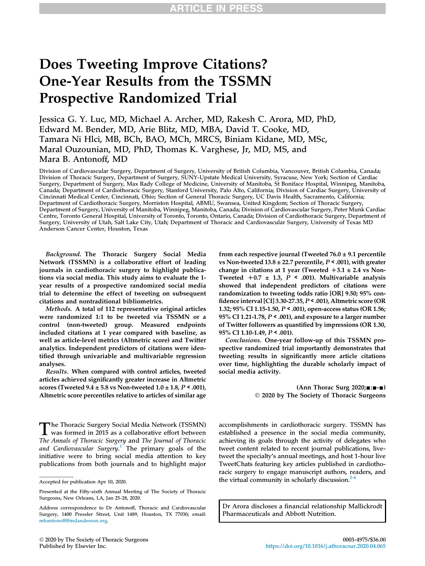# Does Tweeting Improve Citations? One-Year Results from the TSSMN Prospective Randomized Trial

Jessica G. Y. Luc, MD, Michael A. Archer, MD, Rakesh C. Arora, MD, PhD, Edward M. Bender, MD, Arie Blitz, MD, MBA, David T. Cooke, MD, Tamara Ni Hlci, MB, BCh, BAO, MCh, MRCS, Biniam Kidane, MD, MSc, Maral Ouzounian, MD, PhD, Thomas K. Varghese, Jr, MD, MS, and Mara B. Antonoff, MD

Division of Cardiovascular Surgery, Department of Surgery, University of British Columbia, Vancouver, British Columbia, Canada; Division of Thoracic Surgery, Department of Surgery, SUNY-Upstate Medical University, Syracuse, New York; Section of Cardiac Surgery, Department of Surgery, Max Rady College of Medicine, University of Manitoba, St Boniface Hospital, Winnipeg, Manitoba, Canada; Department of Cardiothoracic Surgery, Stanford University, Palo Alto, California; Division of Cardiac Surgery, University of Cincinnati Medical Center, Cincinnati, Ohio; Section of General Thoracic Surgery, UC Davis Health, Sacramento, California; Department of Cardiothoracic Surgery, Morriston Hospital, ABMU, Swansea, United Kingdom; Section of Thoracic Surgery, Department of Surgery, University of Manitoba, Winnipeg, Manitoba, Canada; Division of Cardiovascular Surgery, Peter Munk Cardiac Centre, Toronto General Hospital, University of Toronto, Toronto, Ontario, Canada; Division of Cardiothoracic Surgery, Department of Surgery, University of Utah, Salt Lake City, Utah; Department of Thoracic and Cardiovascular Surgery, University of Texas MD Anderson Cancer Center, Houston, Texas

Background. The Thoracic Surgery Social Media Network (TSSMN) is a collaborative effort of leading journals in cardiothoracic surgery to highlight publications via social media. This study aims to evaluate the 1 year results of a prospective randomized social media trial to determine the effect of tweeting on subsequent citations and nontraditional bibliometrics.

Methods. A total of 112 representative original articles were randomized 1:1 to be tweeted via TSSMN or a control (non-tweeted) group. Measured endpoints included citations at 1 year compared with baseline, as well as article-level metrics (Altmetric score) and Twitter analytics. Independent predictors of citations were identified through univariable and multivariable regression analyses.

Results. When compared with control articles, tweeted articles achieved significantly greater increase in Altmetric scores (Tweeted  $9.4 \pm 5.8$  vs Non-tweeted  $1.0 \pm 1.8$ ,  $P \le 0.001$ ), Altmetric score percentiles relative to articles of similar age

The Thoracic Surgery Social Media Network (TSSMN)<br>was formed in 2015 as a collaborative effort between<br>The Annals of Thoracic Surgery and The Journal of Thoracic The Thoracic Surgery Social Media Network (TSSMN) The Annals of Thoracic Surgery and The Journal of Thoracic and Cardiovascular Surgery.<sup>1</sup> The primary goals of the initiative were to bring social media attention to key publications from both journals and to highlight major

from each respective journal (Tweeted  $76.0 \pm 9.1$  percentile vs Non-tweeted  $13.8 \pm 22.7$  percentile,  $P < .001$ ), with greater change in citations at 1 year (Tweeted  $+3.1 \pm 2.4$  vs Non-Tweeted  $+0.7 \pm 1.3$ ,  $P \le 0.001$ ). Multivariable analysis showed that independent predictors of citations were randomization to tweeting (odds ratio [OR] 9.50; 95% confidence interval [CI] 3.30-27.35,  $P < .001$ ), Altmetric score (OR 1.32; 95% CI 1.15-1.50, P < .001), open-access status (OR 1.56; 95% CI 1.21-1.78,  $P < .001$ ), and exposure to a larger number of Twitter followers as quantified by impressions (OR 1.30, 95% CI 1.10-1.49, P < .001).

Conclusions. One-year follow-up of this TSSMN prospective randomized trial importantly demonstrates that tweeting results in significantly more article citations over time, highlighting the durable scholarly impact of social media activity.

> $(Ann Thorac Surg 2020; \square: \square \neg \square)$ 2020 by The Society of Thoracic Surgeons

accomplishments in cardiothoracic surgery. TSSMN has established a presence in the social media community, achieving its goals through the activity of delegates who tweet content related to recent journal publications, livetweet the specialty's annual meetings, and host 1-hour live TweetChats featuring key articles published in cardiothoracic surgery to engage manuscript authors, readers, and the virtual community in scholarly discussion. $2-6$ 

Dr Arora discloses a financial relationship Mallickrodt Pharmaceuticals and Abbott Nutrition.

Accepted for publication Apr 10, 2020.

Presented at the Fifty-sixth Annual Meeting of The Society of Thoracic Surgeons, New Orleans, LA, Jan 25-28, 2020.

Address correspondence to Dr Antonoff, Thoracic and Cardiovascular Surgery, 1400 Pressler Street, Unit 1489, Houston, TX 77030; email: mbantonoff@mdanderson.org.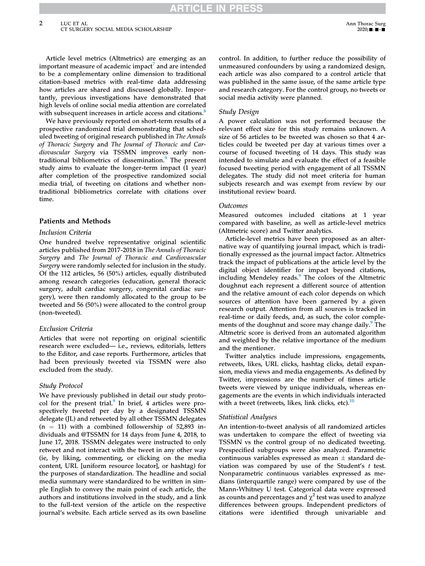Article level metrics (Altmetrics) are emerging as an important measure of academic impact $^7$  and are intended to be a complementary online dimension to traditional citation-based metrics with real-time data addressing how articles are shared and discussed globally. Importantly, previous investigations have demonstrated that high levels of online social media attention are correlated with subsequent increases in article access and citations.<sup>8</sup>

We have previously reported on short-term results of a prospective randomized trial demonstrating that scheduled tweeting of original research published in The Annals of Thoracic Surgery and The Journal of Thoracic and Cardiovascular Surgery via TSSMN improves early nontraditional bibliometrics of dissemination.<sup>9</sup> The present study aims to evaluate the longer-term impact (1 year) after completion of the prospective randomized social media trial, of tweeting on citations and whether nontraditional bibliometrics correlate with citations over time.

# Patients and Methods

## Inclusion Criteria

One hundred twelve representative original scientific articles published from 2017-2018 in The Annals of Thoracic Surgery and The Journal of Thoracic and Cardiovascular Surgery were randomly selected for inclusion in the study. Of the 112 articles, 56 (50%) articles, equally distributed among research categories (education, general thoracic surgery, adult cardiac surgery, congenital cardiac surgery), were then randomly allocated to the group to be tweeted and 56 (50%) were allocated to the control group (non-tweeted).

# Exclusion Criteria

Articles that were not reporting on original scientific research were excluded— i.e., reviews, editorials, letters to the Editor, and case reports. Furthermore, articles that had been previously tweeted via TSSMN were also excluded from the study.

# Study Protocol

We have previously published in detail our study protocol for the present trial.<sup>9</sup> In brief, 4 articles were prospectively tweeted per day by a designated TSSMN delegate (JL) and retweeted by all other TSSMN delegates  $(n = 11)$  with a combined followership of 52,893 individuals and @TSSMN for 14 days from June 4, 2018, to June 17, 2018. TSSMN delegates were instructed to only retweet and not interact with the tweet in any other way (ie, by liking, commenting, or clicking on the media content, URL [uniform resource locator], or hashtag) for the purposes of standardization. The headline and social media summary were standardized to be written in simple English to convey the main point of each article, the authors and institutions involved in the study, and a link to the full-text version of the article on the respective journal's website. Each article served as its own baseline

control. In addition, to further reduce the possibility of unmeasured confounders by using a randomized design, each article was also compared to a control article that was published in the same issue, of the same article type and research category. For the control group, no tweets or social media activity were planned.

# Study Design

A power calculation was not performed because the relevant effect size for this study remains unknown. A size of 56 articles to be tweeted was chosen so that 4 articles could be tweeted per day at various times over a course of focused tweeting of 14 days. This study was intended to simulate and evaluate the effect of a feasible focused tweeting period with engagement of all TSSMN delegates. The study did not meet criteria for human subjects research and was exempt from review by our institutional review board.

#### Outcomes

Measured outcomes included citations at 1 year compared with baseline, as well as article-level metrics (Altmetric score) and Twitter analytics.

Article-level metrics have been proposed as an alternative way of quantifying journal impact, which is traditionally expressed as the journal impact factor. Altmetrics track the impact of publications at the article level by the digital object identifier for impact beyond citations, including Mendeley reads.<sup>9</sup> The colors of the Altmetric doughnut each represent a different source of attention and the relative amount of each color depends on which sources of attention have been garnered by a given research output. Attention from all sources is tracked in real-time or daily feeds, and, as such, the color complements of the doughnut and score may change daily.<sup>9</sup> The Altmetric score is derived from an automated algorithm and weighted by the relative importance of the medium and the mentioner.

Twitter analytics include impressions, engagements, retweets, likes, URL clicks, hashtag clicks, detail expansion, media views and media engagements. As defined by Twitter, impressions are the number of times article tweets were viewed by unique individuals, whereas engagements are the events in which individuals interacted with a tweet (retweets, likes, link clicks, etc). $10$ 

## Statistical Analyses

An intention-to-tweet analysis of all randomized articles was undertaken to compare the effect of tweeting via TSSMN vs the control group of no dedicated tweeting. Prespecified subgroups were also analyzed. Parametric continuous variables expressed as mean  $\pm$  standard deviation was compared by use of the Student's t test. Nonparametric continuous variables expressed as medians (interquartile range) were compared by use of the Mann-Whitney U test. Categorical data were expressed as counts and percentages and  $\chi^2$  test was used to analyze differences between groups. Independent predictors of citations were identified through univariable and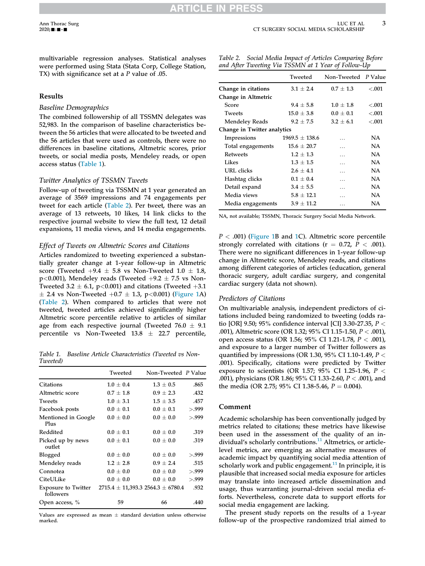multivariable regression analyses. Statistical analyses were performed using Stata (Stata Corp, College Station, TX) with significance set at a P value of .05.

## Results

#### Baseline Demographics

The combined followership of all TSSMN delegates was 52,983. In the comparison of baseline characteristics between the 56 articles that were allocated to be tweeted and the 56 articles that were used as controls, there were no differences in baseline citations, Altmetric scores, prior tweets, or social media posts, Mendeley reads, or open access status (Table 1).

## Twitter Analytics of TSSMN Tweets

Follow-up of tweeting via TSSMN at 1 year generated an average of 3569 impressions and 74 engagements per tweet for each article (Table 2). Per tweet, there was an average of 13 retweets, 10 likes, 14 link clicks to the respective journal website to view the full text, 12 detail expansions, 11 media views, and 14 media engagements.

#### Effect of Tweets on Altmetric Scores and Citations

Articles randomized to tweeting experienced a substantially greater change at 1-year follow-up in Altmetric score (Tweeted  $+9.4 \pm 5.8$  vs Non-Tweeted 1.0  $\pm$  1.8,  $p<0.001$ ), Mendeley reads (Tweeted  $+9.2 \pm 7.5$  vs Non-Tweeted 3.2  $\pm$  6.1, p<0.001) and citations (Tweeted  $+3.1$  $\pm$  2.4 vs Non-Tweeted  $+0.7 \pm 1.3$ , p<0.001) (Figure 1A) (Table 2). When compared to articles that were not tweeted, tweeted articles achieved significantly higher Altmetric score percentile relative to articles of similar age from each respective journal (Tweeted  $76.0 \pm 9.1$ percentile vs Non-Tweeted  $13.8 \pm 22.7$  percentile,

Table 1. Baseline Article Characteristics (Tweeted vs Non-Tweeted)

|                                         | Tweeted       | Non-Tweeted P Value                       |       |
|-----------------------------------------|---------------|-------------------------------------------|-------|
| Citations                               | $1.0 \pm 0.4$ | $1.3 \pm 0.5$                             | .865  |
| Altmetric score                         | $0.7 + 1.8$   | $0.9 \pm 2.3$                             | .432  |
| <b>Tweets</b>                           | $1.0 \pm 3.1$ | $1.5 \pm 3.5$                             | .457  |
| Facebook posts                          | $0.0 \pm 0.1$ | $0.0 \pm 0.1$                             | > 999 |
| Mentioned in Google<br>Plus             | $0.0 \pm 0.0$ | $0.0 \pm 0.0$                             | > 999 |
| Reddited                                | $0.0 \pm 0.1$ | $0.0 \pm 0.0$                             | .319  |
| Picked up by news<br>outlet             | $0.0 \pm 0.1$ | $0.0 \pm 0.0$                             | .319  |
| Blogged                                 | $0.0 \pm 0.0$ | $0.0 \pm 0.0$                             | >.999 |
| Mendeley reads                          | $1.2 \pm 2.8$ | $0.9 \pm 2.4$                             | .515  |
| Connotea                                | $0.0 \pm 0.0$ | $0.0 \pm 0.0$                             | > 999 |
| CiteULike                               | $0.0 \pm 0.0$ | $0.0 \pm 0.0$                             | > 999 |
| <b>Exposure to Twitter</b><br>followers |               | $2715.4 \pm 11,393.3$ $2564.3 \pm 6780.4$ | .932  |
| Open access, %                          | 59            | 66                                        | .440  |

Values are expressed as mean  $\pm$  standard deviation unless otherwise marked.

|  |                                                     | Table 2. Social Media Impact of Articles Comparing Before |
|--|-----------------------------------------------------|-----------------------------------------------------------|
|  | and After Tweeting Via TSSMN at 1 Year of Follow-Up |                                                           |

|                             | Tweeted            | Non-Tweeted P Value |         |  |
|-----------------------------|--------------------|---------------------|---------|--|
| Change in citations         | $3.1 + 2.4$        | $0.7 + 1.3$         | $-.001$ |  |
| Change in Altmetric         |                    |                     |         |  |
| Score                       | $9.4 + 5.8$        | $1.0 + 1.8$         | < 0.001 |  |
| <b>Tweets</b>               | $15.0 \pm 3.8$     | $0.0 \pm 0.1$       | < .001  |  |
| Mendeley Reads              | $9.2 + 7.5$        | $3.2 + 6.1$         | < 0.001 |  |
| Change in Twitter analytics |                    |                     |         |  |
| Impressions                 | $1969.5 \pm 138.6$ | $\cdots$            | NA.     |  |
| Total engagements           | $15.6 \pm 20.7$    | $\cdots$            | NA.     |  |
| <b>Retweets</b>             | $1.2 \pm 1.3$      | $\cdots$            | NA.     |  |
| Likes                       | $1.3 + 1.5$        | .                   | NA.     |  |
| URL clicks                  | $2.6 + 4.1$        | .                   | NA.     |  |
| Hashtag clicks              | $0.1 \pm 0.4$      | $\cdots$            | NA.     |  |
| Detail expand               | $3.4 \pm 5.5$      | $\cdots$            | NA.     |  |
| Media views                 | $5.8 + 12.1$       |                     | NA      |  |
| Media engagements           | $3.9 + 11.2$       | .                   | NA      |  |

NA, not available; TSSMN, Thoracic Surgery Social Media Network.

 $P < .001$ ) (Figure 1B and 1C). Altmetric score percentile strongly correlated with citations ( $r = 0.72$ ,  $P < .001$ ). There were no significant differences in 1-year follow-up change in Altmetric score, Mendeley reads, and citations among different categories of articles (education, general thoracic surgery, adult cardiac surgery, and congenital cardiac surgery (data not shown).

## Predictors of Citations

On multivariable analysis, independent predictors of citations included being randomized to tweeting (odds ratio [OR] 9.50; 95% confidence interval [CI] 3.30-27.35,  $P <$ .001), Altmetric score (OR 1.32;  $95\%$  CI 1.15-1.50,  $P < .001$ ), open access status (OR 1.56; 95% CI 1.21-1.78,  $P < .001$ ), and exposure to a larger number of Twitter followers as quantified by impressions (OR 1.30, 95% CI 1.10-1.49,  $P <$ .001). Specifically, citations were predicted by Twitter exposure to scientists (OR 1.57; 95% CI 1.25-1.96,  $P <$ .001), physicians (OR 1.86; 95% CI 1.33-2.60,  $P <$  .001), and the media (OR 2.75; 95% CI 1.38-5.46,  $P = 0.004$ ).

#### Comment

Academic scholarship has been conventionally judged by metrics related to citations; these metrics have likewise been used in the assessment of the quality of an individual's scholarly contributions.<sup>11</sup> Altmetrics, or articlelevel metrics, are emerging as alternative measures of academic impact by quantifying social media attention of scholarly work and public engagement.<sup>11</sup> In principle, it is plausible that increased social media exposure for articles may translate into increased article dissemination and usage, thus warranting journal-driven social media efforts. Nevertheless, concrete data to support efforts for social media engagement are lacking.

The present study reports on the results of a 1-year follow-up of the prospective randomized trial aimed to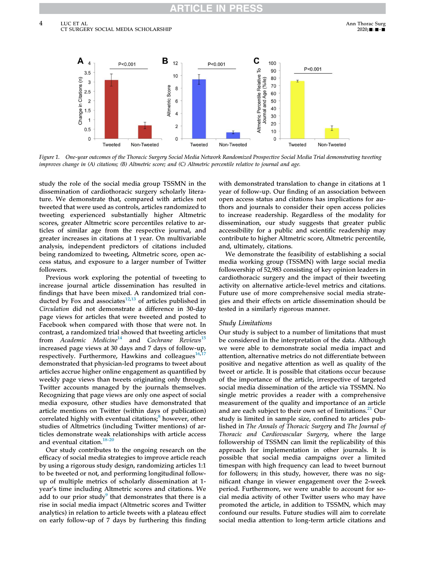

Figure 1. One-year outcomes of the Thoracic Surgery Social Media Network Randomized Prospective Social Media Trial demonstrating tweeting improves change in (A) citations; (B) Altmetric score; and (C) Altmetric percentile relative to journal and age.

study the role of the social media group TSSMN in the dissemination of cardiothoracic surgery scholarly literature. We demonstrate that, compared with articles not tweeted that were used as controls, articles randomized to tweeting experienced substantially higher Altmetric scores, greater Altmetric score percentiles relative to articles of similar age from the respective journal, and greater increases in citations at 1 year. On multivariable analysis, independent predictors of citations included being randomized to tweeting, Altmetric score, open access status, and exposure to a larger number of Twitter followers.

Previous work exploring the potential of tweeting to increase journal article dissemination has resulted in findings that have been mixed. A randomized trial conducted by Fox and associates $12,13$  of articles published in Circulation did not demonstrate a difference in 30-day page views for articles that were tweeted and posted to Facebook when compared with those that were not. In contrast, a randomized trial showed that tweeting articles from Academic Medicine<sup>14</sup> and Cochrane Reviews<sup>15</sup> increased page views at 30 days and 7 days of follow-up, respectively. Furthermore, Hawkins and colleagues $16,17$ demonstrated that physician-led programs to tweet about articles accrue higher online engagement as quantified by weekly page views than tweets originating only through Twitter accounts managed by the journals themselves. Recognizing that page views are only one aspect of social media exposure, other studies have demonstrated that article mentions on Twitter (within days of publication) correlated highly with eventual citations;<sup>8</sup> however, other studies of Altmetrics (including Twitter mentions) of articles demonstrate weak relationships with article access and eventual citation.<sup>18-20</sup>

Our study contributes to the ongoing research on the efficacy of social media strategies to improve article reach by using a rigorous study design, randomizing articles 1:1 to be tweeted or not, and performing longitudinal followup of multiple metrics of scholarly dissemination at 1 year's time including Altmetric scores and citations. We add to our prior study<sup>9</sup> that demonstrates that there is a rise in social media impact (Altmetric scores and Twitter analytics) in relation to article tweets with a plateau effect on early follow-up of 7 days by furthering this finding

with demonstrated translation to change in citations at 1 year of follow-up. Our finding of an association between open access status and citations has implications for authors and journals to consider their open access policies to increase readership. Regardless of the modality for dissemination, our study suggests that greater public accessibility for a public and scientific readership may contribute to higher Altmetric score, Altmetric percentile, and, ultimately, citations.

We demonstrate the feasibility of establishing a social media working group (TSSMN) with large social media followership of 52,983 consisting of key opinion leaders in cardiothoracic surgery and the impact of their tweeting activity on alternative article-level metrics and citations. Future use of more comprehensive social media strategies and their effects on article dissemination should be tested in a similarly rigorous manner.

#### Study Limitations

Our study is subject to a number of limitations that must be considered in the interpretation of the data. Although we were able to demonstrate social media impact and attention, alternative metrics do not differentiate between positive and negative attention as well as quality of the tweet or article. It is possible that citations occur because of the importance of the article, irrespective of targeted social media dissemination of the article via TSSMN. No single metric provides a reader with a comprehensive measurement of the quality and importance of an article and are each subject to their own set of limitations.<sup>21</sup> Our study is limited in sample size, confined to articles published in The Annals of Thoracic Surgery and The Journal of Thoracic and Cardiovascular Surgery, where the large followership of TSSMN can limit the replicability of this approach for implementation in other journals. It is possible that social media campaigns over a limited timespan with high frequency can lead to tweet burnout for followers; in this study, however, there was no significant change in viewer engagement over the 2-week period. Furthermore, we were unable to account for social media activity of other Twitter users who may have promoted the article, in addition to TSSMN, which may confound our results. Future studies will aim to correlate social media attention to long-term article citations and